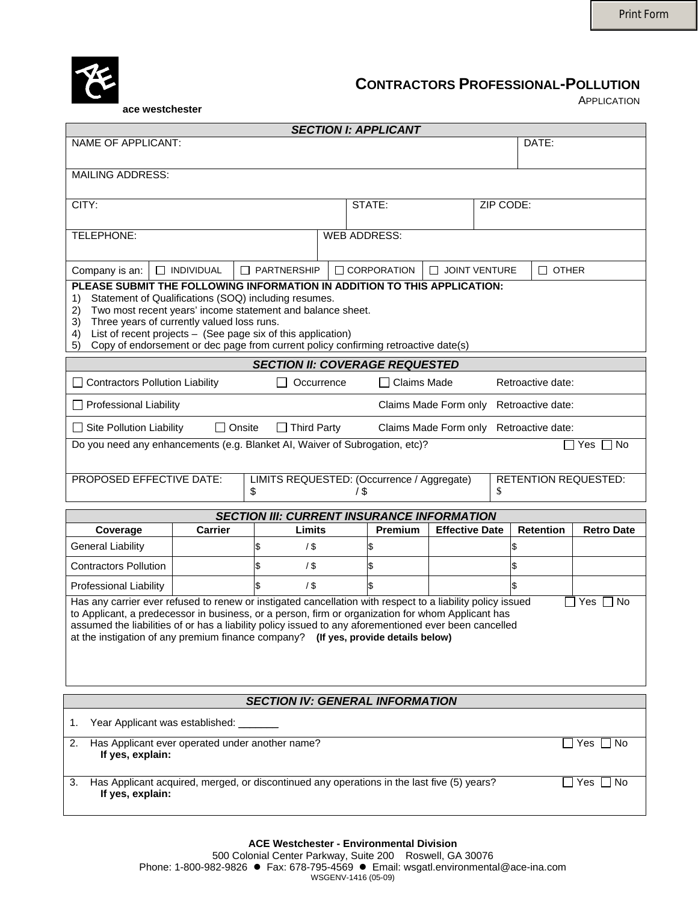



## **CONTRACTORS PROFESSIONAL-POLLUTION**

APPLICATION

 **ace westchester** 

| <b>SECTION I: APPLICANT</b>                                                                                                                                                                                                                                                                                                                                                                                                        |                                                                                                                                                                                                                                                                                                                                                                                                    |                        |            |                                                   |                        |           |                                         |                   |
|------------------------------------------------------------------------------------------------------------------------------------------------------------------------------------------------------------------------------------------------------------------------------------------------------------------------------------------------------------------------------------------------------------------------------------|----------------------------------------------------------------------------------------------------------------------------------------------------------------------------------------------------------------------------------------------------------------------------------------------------------------------------------------------------------------------------------------------------|------------------------|------------|---------------------------------------------------|------------------------|-----------|-----------------------------------------|-------------------|
| NAME OF APPLICANT:                                                                                                                                                                                                                                                                                                                                                                                                                 |                                                                                                                                                                                                                                                                                                                                                                                                    |                        |            |                                                   |                        |           | DATE:                                   |                   |
| <b>MAILING ADDRESS:</b>                                                                                                                                                                                                                                                                                                                                                                                                            |                                                                                                                                                                                                                                                                                                                                                                                                    |                        |            |                                                   |                        |           |                                         |                   |
|                                                                                                                                                                                                                                                                                                                                                                                                                                    |                                                                                                                                                                                                                                                                                                                                                                                                    |                        |            |                                                   |                        |           |                                         |                   |
| CITY:                                                                                                                                                                                                                                                                                                                                                                                                                              |                                                                                                                                                                                                                                                                                                                                                                                                    |                        |            | STATE:                                            |                        | ZIP CODE: |                                         |                   |
|                                                                                                                                                                                                                                                                                                                                                                                                                                    |                                                                                                                                                                                                                                                                                                                                                                                                    |                        |            |                                                   |                        |           |                                         |                   |
| TELEPHONE:                                                                                                                                                                                                                                                                                                                                                                                                                         |                                                                                                                                                                                                                                                                                                                                                                                                    |                        |            | <b>WEB ADDRESS:</b>                               |                        |           |                                         |                   |
| Company is an:                                                                                                                                                                                                                                                                                                                                                                                                                     | $\Box$ INDIVIDUAL                                                                                                                                                                                                                                                                                                                                                                                  | □ PARTNERSHIP          |            | $\Box$ CORPORATION                                | <b>O JOINT VENTURE</b> |           | $\Box$ OTHER                            |                   |
| 1)<br>2)<br>3)<br>4)<br>5)                                                                                                                                                                                                                                                                                                                                                                                                         | PLEASE SUBMIT THE FOLLOWING INFORMATION IN ADDITION TO THIS APPLICATION:<br>Statement of Qualifications (SOQ) including resumes.<br>Two most recent years' income statement and balance sheet.<br>Three years of currently valued loss runs.<br>List of recent projects - (See page six of this application)<br>Copy of endorsement or dec page from current policy confirming retroactive date(s) |                        |            |                                                   |                        |           |                                         |                   |
|                                                                                                                                                                                                                                                                                                                                                                                                                                    |                                                                                                                                                                                                                                                                                                                                                                                                    |                        |            | <b>SECTION II: COVERAGE REQUESTED</b>             |                        |           |                                         |                   |
| <b>Contractors Pollution Liability</b>                                                                                                                                                                                                                                                                                                                                                                                             |                                                                                                                                                                                                                                                                                                                                                                                                    |                        | Occurrence | ∃ Claims Made                                     |                        |           | Retroactive date:                       |                   |
| $\Box$ Professional Liability                                                                                                                                                                                                                                                                                                                                                                                                      |                                                                                                                                                                                                                                                                                                                                                                                                    |                        |            |                                                   | Claims Made Form only  |           | Retroactive date:                       |                   |
| $\Box$ Site Pollution Liability                                                                                                                                                                                                                                                                                                                                                                                                    | $\Box$ Onsite                                                                                                                                                                                                                                                                                                                                                                                      | $\Box$ Third Party     |            |                                                   |                        |           | Claims Made Form only Retroactive date: |                   |
| Do you need any enhancements (e.g. Blanket AI, Waiver of Subrogation, etc)?<br>$\Box$ Yes $\Box$ No<br>PROPOSED EFFECTIVE DATE:<br>LIMITS REQUESTED: (Occurrence / Aggregate)<br><b>RETENTION REQUESTED:</b>                                                                                                                                                                                                                       |                                                                                                                                                                                                                                                                                                                                                                                                    |                        |            |                                                   |                        |           |                                         |                   |
|                                                                                                                                                                                                                                                                                                                                                                                                                                    |                                                                                                                                                                                                                                                                                                                                                                                                    | \$                     |            | 1\$                                               |                        | \$        |                                         |                   |
|                                                                                                                                                                                                                                                                                                                                                                                                                                    |                                                                                                                                                                                                                                                                                                                                                                                                    |                        |            | <b>SECTION III: CURRENT INSURANCE INFORMATION</b> |                        |           |                                         |                   |
| Coverage<br><b>General Liability</b>                                                                                                                                                                                                                                                                                                                                                                                               | <b>Carrier</b>                                                                                                                                                                                                                                                                                                                                                                                     | Limits<br>\$<br>$/$ \$ |            | Premium                                           | <b>Effective Date</b>  |           | Retention                               | <b>Retro Date</b> |
| <b>Contractors Pollution</b>                                                                                                                                                                                                                                                                                                                                                                                                       |                                                                                                                                                                                                                                                                                                                                                                                                    | \$<br>$/$ \$           |            | \$                                                |                        |           |                                         |                   |
| Professional Liability                                                                                                                                                                                                                                                                                                                                                                                                             |                                                                                                                                                                                                                                                                                                                                                                                                    | \$<br>$/$ \$           |            |                                                   |                        |           |                                         |                   |
| Has any carrier ever refused to renew or instigated cancellation with respect to a liability policy issued<br>Yes<br><b>No</b><br>to Applicant, a predecessor in business, or a person, firm or organization for whom Applicant has<br>assumed the liabilities of or has a liability policy issued to any aforementioned ever been cancelled<br>at the instigation of any premium finance company? (If yes, provide details below) |                                                                                                                                                                                                                                                                                                                                                                                                    |                        |            |                                                   |                        |           |                                         |                   |
| <b>SECTION IV: GENERAL INFORMATION</b>                                                                                                                                                                                                                                                                                                                                                                                             |                                                                                                                                                                                                                                                                                                                                                                                                    |                        |            |                                                   |                        |           |                                         |                   |
| Year Applicant was established:<br>1.                                                                                                                                                                                                                                                                                                                                                                                              |                                                                                                                                                                                                                                                                                                                                                                                                    |                        |            |                                                   |                        |           |                                         |                   |
| Has Applicant ever operated under another name?<br>$\Box$ Yes $\Box$ No<br>2.<br>If yes, explain:                                                                                                                                                                                                                                                                                                                                  |                                                                                                                                                                                                                                                                                                                                                                                                    |                        |            |                                                   |                        |           |                                         |                   |
| Has Applicant acquired, merged, or discontinued any operations in the last five (5) years?<br>Yes $\Box$ No<br>3.<br>If yes, explain:                                                                                                                                                                                                                                                                                              |                                                                                                                                                                                                                                                                                                                                                                                                    |                        |            |                                                   |                        |           |                                         |                   |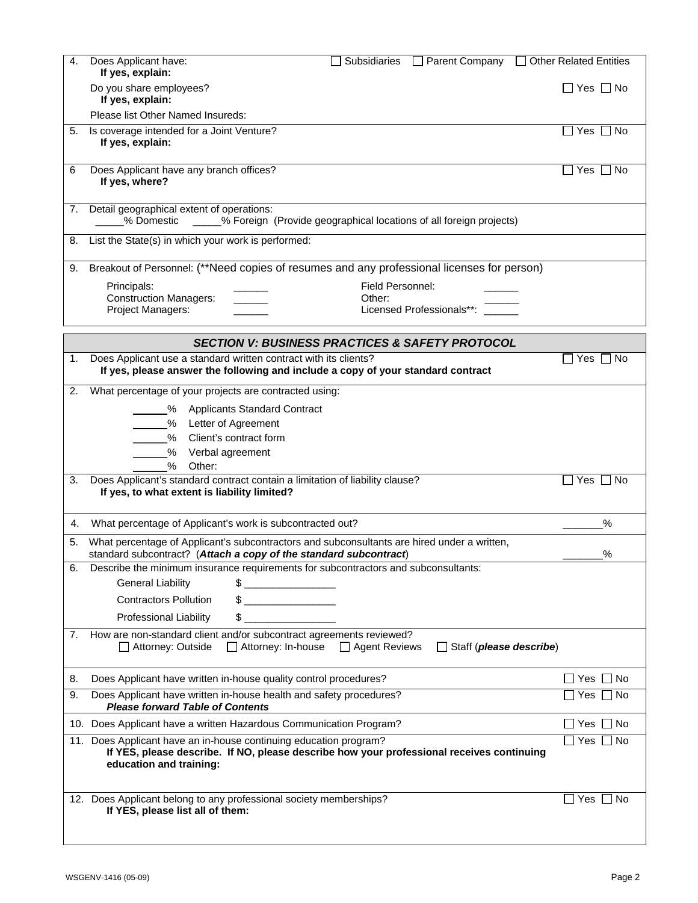| 4. | Does Applicant have:<br><b>Subsidiaries</b><br>□ Parent Company □ Other Related Entities<br>If yes, explain:                                                                              |                            |
|----|-------------------------------------------------------------------------------------------------------------------------------------------------------------------------------------------|----------------------------|
|    | Do you share employees?<br>If yes, explain:                                                                                                                                               | $\square$ Yes $\square$ No |
|    | Please list Other Named Insureds:                                                                                                                                                         |                            |
| 5. | Is coverage intended for a Joint Venture?                                                                                                                                                 |                            |
|    | If yes, explain:                                                                                                                                                                          |                            |
| 6  | Does Applicant have any branch offices?<br>If yes, where?                                                                                                                                 | Yes [<br>∩ No              |
| 7. | Detail geographical extent of operations:<br>- % Foreign (Provide geographical locations of all foreign projects)<br>% Domestic                                                           |                            |
| 8. | List the State(s) in which your work is performed:                                                                                                                                        |                            |
| 9. | Breakout of Personnel: (**Need copies of resumes and any professional licenses for person)                                                                                                |                            |
|    | Field Personnel:<br>Principals:                                                                                                                                                           |                            |
|    | <b>Construction Managers:</b><br>Other:<br>Licensed Professionals**:                                                                                                                      |                            |
|    | Project Managers:                                                                                                                                                                         |                            |
|    | <b>SECTION V: BUSINESS PRACTICES &amp; SAFETY PROTOCOL</b>                                                                                                                                |                            |
| 1. | Does Applicant use a standard written contract with its clients?                                                                                                                          | Yes $\Box$ No              |
|    | If yes, please answer the following and include a copy of your standard contract                                                                                                          |                            |
| 2. | What percentage of your projects are contracted using:                                                                                                                                    |                            |
|    | %<br><b>Applicants Standard Contract</b>                                                                                                                                                  |                            |
|    | %<br>Letter of Agreement                                                                                                                                                                  |                            |
|    | $\%$<br>Client's contract form                                                                                                                                                            |                            |
|    | %<br>Verbal agreement                                                                                                                                                                     |                            |
| 3. | %<br>Other:<br>Does Applicant's standard contract contain a limitation of liability clause?                                                                                               | Yes $\Box$ No              |
|    | If yes, to what extent is liability limited?                                                                                                                                              |                            |
| 4. | What percentage of Applicant's work is subcontracted out?                                                                                                                                 | %                          |
|    | What percentage of Applicant's subcontractors and subconsultants are hired under a written,<br>standard subcontract? (Attach a copy of the standard subcontract)                          | %                          |
| 6. | Describe the minimum insurance requirements for subcontractors and subconsultants:                                                                                                        |                            |
|    | <b>General Liability</b>                                                                                                                                                                  |                            |
|    | <b>Contractors Pollution</b>                                                                                                                                                              |                            |
|    | <b>Professional Liability</b>                                                                                                                                                             |                            |
| 7. | How are non-standard client and/or subcontract agreements reviewed?<br>□ Attorney: In-house □ Agent Reviews<br>$\Box$ Attorney: Outside<br>$\Box$ Staff ( <i>please describe</i> )        |                            |
| 8. | Does Applicant have written in-house quality control procedures?                                                                                                                          | $\Box$ Yes $\Box$ No       |
| 9. | Does Applicant have written in-house health and safety procedures?<br><b>Please forward Table of Contents</b>                                                                             | $\square$ Yes $\square$ No |
|    | 10. Does Applicant have a written Hazardous Communication Program?                                                                                                                        | $\Box$ Yes $\Box$ No       |
|    | 11. Does Applicant have an in-house continuing education program?<br>If YES, please describe. If NO, please describe how your professional receives continuing<br>education and training: | $\Box$ Yes $\Box$ No       |
|    | 12. Does Applicant belong to any professional society memberships?<br>If YES, please list all of them:                                                                                    | Yes  <br>– I No            |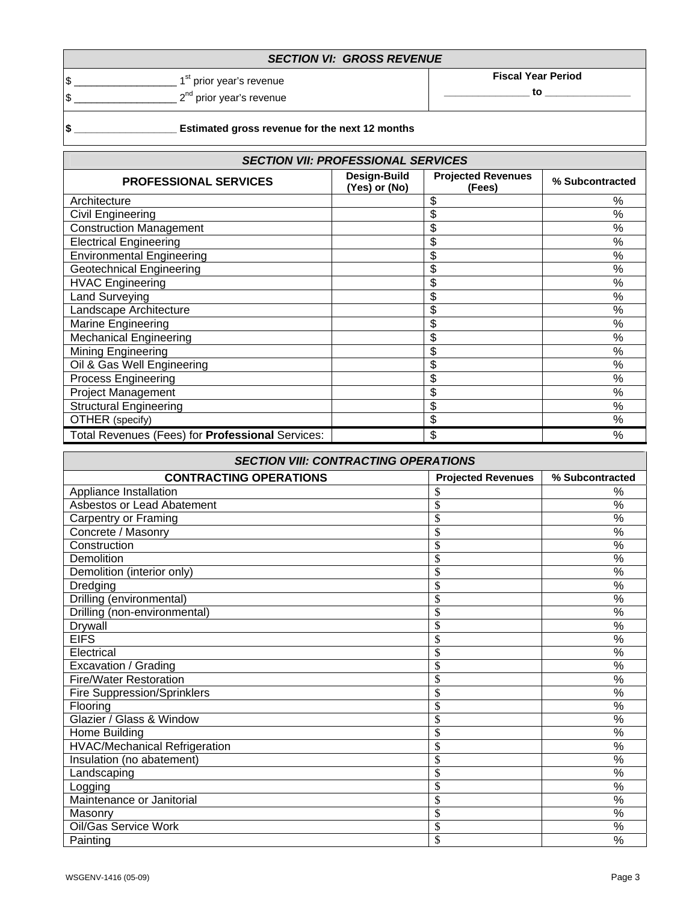|  | <b>SECTION VI: GROSS REVENUE</b> |
|--|----------------------------------|
|--|----------------------------------|

 $\frac{1}{3}$  Fiscal Year Period **Fiscal Year Period Fiscal Year Period Fiscal Year Period**  $\frac{1}{2}$   $\frac{1}{2}$   $\frac{1}{2}$   $\frac{1}{2}$  prior year's revenue

## **\$ \_\_\_\_\_\_\_\_\_\_\_\_\_\_\_\_\_\_ Estimated gross revenue for the next 12 months**

| <b>SECTION VII: PROFESSIONAL SERVICES</b>        |                               |                                     |                 |  |
|--------------------------------------------------|-------------------------------|-------------------------------------|-----------------|--|
| <b>PROFESSIONAL SERVICES</b>                     | Design-Build<br>(Yes) or (No) | <b>Projected Revenues</b><br>(Fees) | % Subcontracted |  |
| Architecture                                     |                               | \$                                  | ℅               |  |
| Civil Engineering                                |                               | \$                                  | %               |  |
| <b>Construction Management</b>                   |                               | \$                                  | %               |  |
| <b>Electrical Engineering</b>                    |                               | \$                                  | $\%$            |  |
| <b>Environmental Engineering</b>                 |                               | \$                                  | %               |  |
| <b>Geotechnical Engineering</b>                  |                               | \$                                  | %               |  |
| <b>HVAC Engineering</b>                          |                               | \$                                  | %               |  |
| Land Surveying                                   |                               | \$                                  | $\frac{9}{6}$   |  |
| Landscape Architecture                           |                               | \$                                  | $\%$            |  |
| Marine Engineering                               |                               | \$                                  | $\frac{1}{2}$   |  |
| <b>Mechanical Engineering</b>                    |                               | \$                                  | $\%$            |  |
| Mining Engineering                               |                               | \$                                  | %               |  |
| Oil & Gas Well Engineering                       |                               | \$                                  | $\%$            |  |
| <b>Process Engineering</b>                       |                               | \$                                  | $\frac{9}{6}$   |  |
| Project Management                               |                               | \$                                  | %               |  |
| <b>Structural Engineering</b>                    |                               | \$                                  | %               |  |
| OTHER (specify)                                  |                               | \$                                  | $\%$            |  |
| Total Revenues (Fees) for Professional Services: |                               | \$.                                 | $\%$            |  |

| <b>SECTION VIII: CONTRACTING OPERATIONS</b> |                           |                          |  |  |
|---------------------------------------------|---------------------------|--------------------------|--|--|
| <b>CONTRACTING OPERATIONS</b>               | <b>Projected Revenues</b> | % Subcontracted          |  |  |
| Appliance Installation                      |                           | %                        |  |  |
| Asbestos or Lead Abatement                  | \$                        | %                        |  |  |
| <b>Carpentry or Framing</b>                 | \$                        | %                        |  |  |
| Concrete / Masonry                          | \$                        | %                        |  |  |
| Construction                                | \$                        | %                        |  |  |
| Demolition                                  | \$                        | $\overline{\%}$          |  |  |
| Demolition (interior only)                  | \$                        | %                        |  |  |
| Dredging                                    | \$                        | %                        |  |  |
| Drilling (environmental)                    | \$                        | %                        |  |  |
| Drilling (non-environmental)                | \$                        | $\overline{\frac{9}{6}}$ |  |  |
| Drywall                                     | \$                        | %                        |  |  |
| <b>EIFS</b>                                 | \$                        | $\frac{0}{0}$            |  |  |
| Electrical                                  | \$                        | %                        |  |  |
| Excavation / Grading                        | \$                        | %                        |  |  |
| <b>Fire/Water Restoration</b>               | \$                        | $\frac{0}{0}$            |  |  |
| Fire Suppression/Sprinklers                 | \$                        | $\frac{0}{0}$            |  |  |
| Flooring                                    | \$                        | %                        |  |  |
| Glazier / Glass & Window                    | \$                        | %                        |  |  |
| Home Building                               | \$                        | %                        |  |  |
| <b>HVAC/Mechanical Refrigeration</b>        | \$                        | %                        |  |  |
| Insulation (no abatement)                   | \$                        | %                        |  |  |
| Landscaping                                 | \$                        | %                        |  |  |
| Logging                                     | \$                        | %                        |  |  |
| Maintenance or Janitorial                   | \$                        | %                        |  |  |
| Masonry                                     | \$                        | %                        |  |  |
| Oil/Gas Service Work                        | \$                        | %                        |  |  |
| Painting                                    | \$                        | $\frac{0}{0}$            |  |  |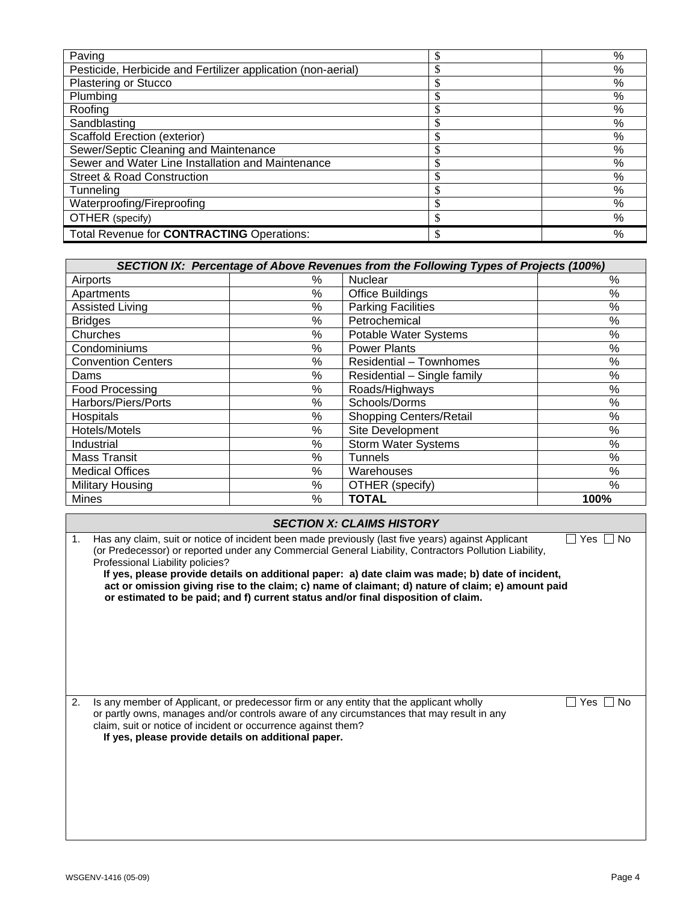| Paving                                                       | %    |
|--------------------------------------------------------------|------|
| Pesticide, Herbicide and Fertilizer application (non-aerial) | %    |
| <b>Plastering or Stucco</b>                                  | $\%$ |
| Plumbing                                                     | %    |
| Roofing                                                      | %    |
| Sandblasting                                                 | %    |
| <b>Scaffold Erection (exterior)</b>                          | %    |
| Sewer/Septic Cleaning and Maintenance                        | %    |
| Sewer and Water Line Installation and Maintenance            | %    |
| <b>Street &amp; Road Construction</b>                        | %    |
| Tunneling                                                    | %    |
| Waterproofing/Fireproofing                                   | %    |
| OTHER (specify)                                              | %    |
| Total Revenue for CONTRACTING Operations:                    | %    |

| SECTION IX: Percentage of Above Revenues from the Following Types of Projects (100%) |      |                             |      |  |
|--------------------------------------------------------------------------------------|------|-----------------------------|------|--|
| Airports                                                                             | ℅    | <b>Nuclear</b>              | $\%$ |  |
| Apartments                                                                           | %    | <b>Office Buildings</b>     | $\%$ |  |
| <b>Assisted Living</b>                                                               | %    | <b>Parking Facilities</b>   | %    |  |
| <b>Bridges</b>                                                                       | %    | Petrochemical               | $\%$ |  |
| Churches                                                                             | %    | Potable Water Systems       | $\%$ |  |
| Condominiums                                                                         | %    | <b>Power Plants</b>         | %    |  |
| <b>Convention Centers</b>                                                            | %    | Residential - Townhomes     | $\%$ |  |
| Dams                                                                                 | %    | Residential - Single family | $\%$ |  |
| Food Processing                                                                      | $\%$ | Roads/Highways              | $\%$ |  |
| Harbors/Piers/Ports                                                                  | %    | Schools/Dorms               | $\%$ |  |
| Hospitals                                                                            | %    | Shopping Centers/Retail     | $\%$ |  |
| Hotels/Motels                                                                        | %    | Site Development            | $\%$ |  |
| Industrial                                                                           | %    | <b>Storm Water Systems</b>  | $\%$ |  |
| <b>Mass Transit</b>                                                                  | $\%$ | <b>Tunnels</b>              | $\%$ |  |
| <b>Medical Offices</b>                                                               | %    | Warehouses                  | $\%$ |  |
| <b>Military Housing</b>                                                              | %    | OTHER (specify)             | %    |  |
| Mines                                                                                | %    | <b>TOTAL</b>                | 100% |  |

|                | <b>SECTION X: CLAIMS HISTORY</b>                                                                                                                                                                                                                                                                                                                                                                                                                                                                                                                           |  |  |  |  |
|----------------|------------------------------------------------------------------------------------------------------------------------------------------------------------------------------------------------------------------------------------------------------------------------------------------------------------------------------------------------------------------------------------------------------------------------------------------------------------------------------------------------------------------------------------------------------------|--|--|--|--|
| 1 <sub>1</sub> | Has any claim, suit or notice of incident been made previously (last five years) against Applicant<br>No<br>Yes<br>(or Predecessor) or reported under any Commercial General Liability, Contractors Pollution Liability,<br>Professional Liability policies?<br>If yes, please provide details on additional paper: a) date claim was made; b) date of incident,<br>act or omission giving rise to the claim; c) name of claimant; d) nature of claim; e) amount paid<br>or estimated to be paid; and f) current status and/or final disposition of claim. |  |  |  |  |
| 2.             | Is any member of Applicant, or predecessor firm or any entity that the applicant wholly<br>No<br>Yes.<br>or partly owns, manages and/or controls aware of any circumstances that may result in any<br>claim, suit or notice of incident or occurrence against them?<br>If yes, please provide details on additional paper.                                                                                                                                                                                                                                 |  |  |  |  |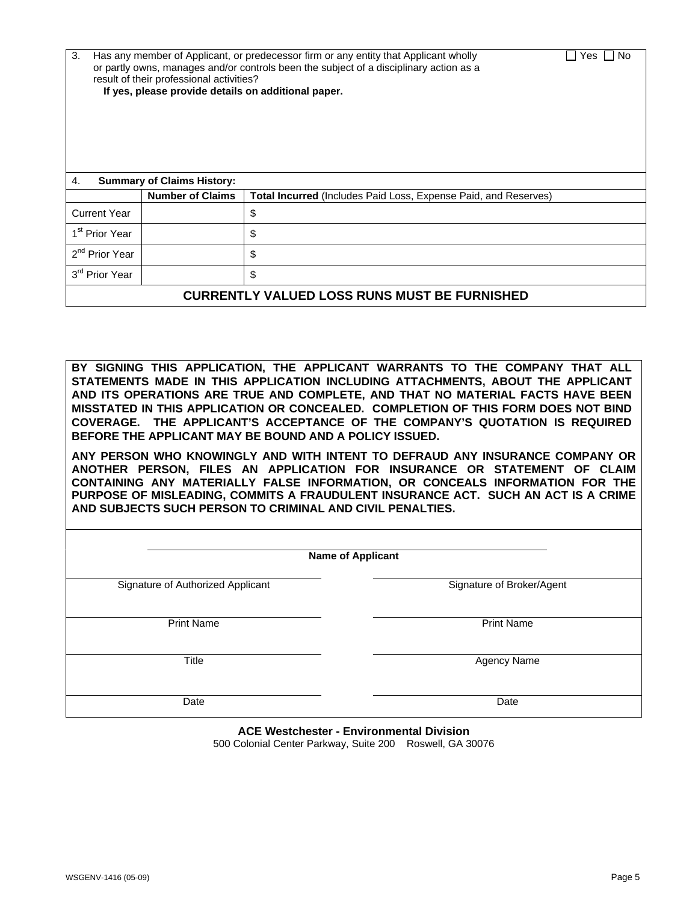| 3.<br>Has any member of Applicant, or predecessor firm or any entity that Applicant wholly<br>No<br>Yes<br>or partly owns, manages and/or controls been the subject of a disciplinary action as a<br>result of their professional activities?<br>If yes, please provide details on additional paper. |                                   |                                                                        |  |  |  |
|------------------------------------------------------------------------------------------------------------------------------------------------------------------------------------------------------------------------------------------------------------------------------------------------------|-----------------------------------|------------------------------------------------------------------------|--|--|--|
| 4.                                                                                                                                                                                                                                                                                                   | <b>Summary of Claims History:</b> |                                                                        |  |  |  |
|                                                                                                                                                                                                                                                                                                      | <b>Number of Claims</b>           | <b>Total Incurred</b> (Includes Paid Loss, Expense Paid, and Reserves) |  |  |  |
| <b>Current Year</b>                                                                                                                                                                                                                                                                                  | \$                                |                                                                        |  |  |  |
| 1 <sup>st</sup> Prior Year                                                                                                                                                                                                                                                                           | \$                                |                                                                        |  |  |  |
| 2 <sup>nd</sup> Prior Year<br>\$                                                                                                                                                                                                                                                                     |                                   |                                                                        |  |  |  |
| 3 <sup>rd</sup> Prior Year<br>\$                                                                                                                                                                                                                                                                     |                                   |                                                                        |  |  |  |
| <b>CURRENTLY VALUED LOSS RUNS MUST BE FURNISHED</b>                                                                                                                                                                                                                                                  |                                   |                                                                        |  |  |  |

**BY SIGNING THIS APPLICATION, THE APPLICANT WARRANTS TO THE COMPANY THAT ALL STATEMENTS MADE IN THIS APPLICATION INCLUDING ATTACHMENTS, ABOUT THE APPLICANT AND ITS OPERATIONS ARE TRUE AND COMPLETE, AND THAT NO MATERIAL FACTS HAVE BEEN MISSTATED IN THIS APPLICATION OR CONCEALED. COMPLETION OF THIS FORM DOES NOT BIND COVERAGE. THE APPLICANT'S ACCEPTANCE OF THE COMPANY'S QUOTATION IS REQUIRED BEFORE THE APPLICANT MAY BE BOUND AND A POLICY ISSUED.** 

**ANY PERSON WHO KNOWINGLY AND WITH INTENT TO DEFRAUD ANY INSURANCE COMPANY OR ANOTHER PERSON, FILES AN APPLICATION FOR INSURANCE OR STATEMENT OF CLAIM CONTAINING ANY MATERIALLY FALSE INFORMATION, OR CONCEALS INFORMATION FOR THE PURPOSE OF MISLEADING, COMMITS A FRAUDULENT INSURANCE ACT. SUCH AN ACT IS A CRIME AND SUBJECTS SUCH PERSON TO CRIMINAL AND CIVIL PENALTIES.** 

| <b>Name of Applicant</b>          |                           |
|-----------------------------------|---------------------------|
| Signature of Authorized Applicant | Signature of Broker/Agent |
| <b>Print Name</b>                 | <b>Print Name</b>         |
| <b>Title</b>                      | Agency Name               |
| Date                              | Date                      |

**ACE Westchester - Environmental Division**  500 Colonial Center Parkway, Suite 200 Roswell, GA 30076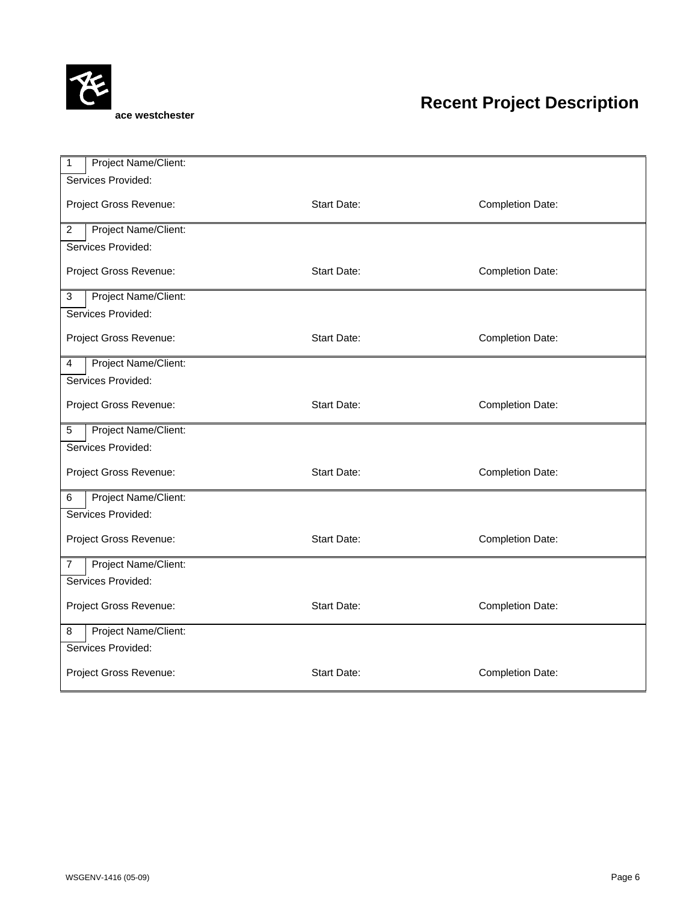

## **Recent Project Description**

| Project Name/Client:<br>1                                        |                    |                  |  |  |  |  |
|------------------------------------------------------------------|--------------------|------------------|--|--|--|--|
| Services Provided:                                               |                    |                  |  |  |  |  |
| Project Gross Revenue:<br><b>Start Date:</b><br>Completion Date: |                    |                  |  |  |  |  |
| Project Name/Client:<br>$\overline{c}$                           |                    |                  |  |  |  |  |
| Services Provided:                                               |                    |                  |  |  |  |  |
| Project Gross Revenue:                                           | <b>Start Date:</b> | Completion Date: |  |  |  |  |
| Project Name/Client:<br>3                                        |                    |                  |  |  |  |  |
| Services Provided:                                               |                    |                  |  |  |  |  |
| Project Gross Revenue:                                           | <b>Start Date:</b> | Completion Date: |  |  |  |  |
| Project Name/Client:<br>4                                        |                    |                  |  |  |  |  |
| Services Provided:                                               |                    |                  |  |  |  |  |
| Start Date:<br>Project Gross Revenue:<br>Completion Date:        |                    |                  |  |  |  |  |
| Project Name/Client:<br>5                                        |                    |                  |  |  |  |  |
| Services Provided:                                               |                    |                  |  |  |  |  |
| Project Gross Revenue:                                           | <b>Start Date:</b> | Completion Date: |  |  |  |  |
| Project Name/Client:<br>6                                        |                    |                  |  |  |  |  |
| Services Provided:                                               |                    |                  |  |  |  |  |
| Project Gross Revenue:                                           | Start Date:        | Completion Date: |  |  |  |  |
| Project Name/Client:<br>7                                        |                    |                  |  |  |  |  |
| Services Provided:                                               |                    |                  |  |  |  |  |
| <b>Start Date:</b><br>Project Gross Revenue:<br>Completion Date: |                    |                  |  |  |  |  |
| Project Name/Client:<br>8                                        |                    |                  |  |  |  |  |
| Services Provided:                                               |                    |                  |  |  |  |  |
| <b>Start Date:</b><br>Project Gross Revenue:<br>Completion Date: |                    |                  |  |  |  |  |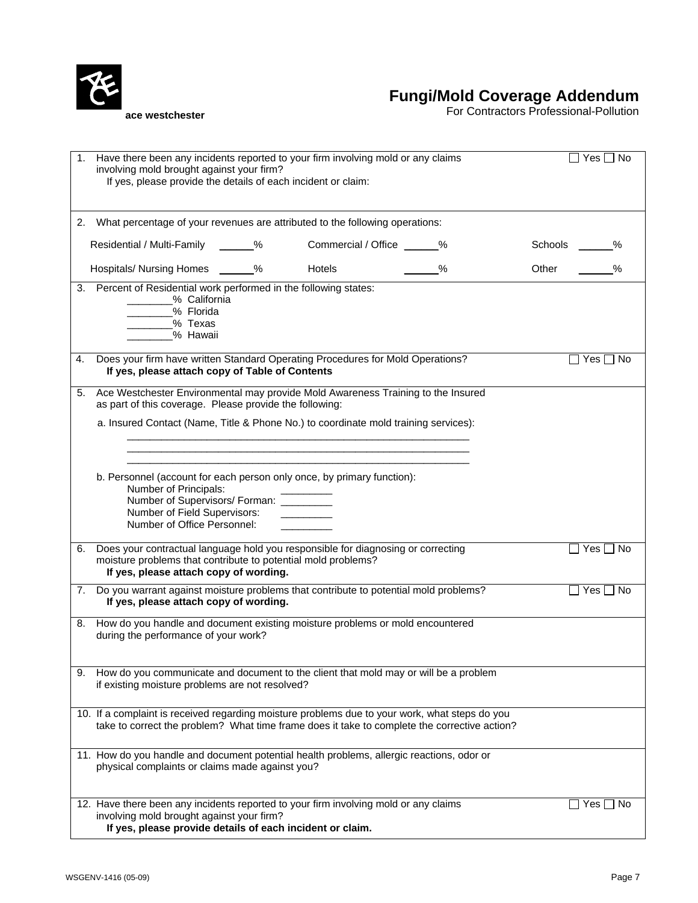

**Fungi/Mold Coverage Addendum**

For Contractors Professional-Pollution

|    | Have there been any incidents reported to your firm involving mold or any claims<br>involving mold brought against your firm?<br>If yes, please provide the details of each incident or claim:             |  |                             |               | $Yes$ $\Box$<br>. No       |  |
|----|------------------------------------------------------------------------------------------------------------------------------------------------------------------------------------------------------------|--|-----------------------------|---------------|----------------------------|--|
|    | 2. What percentage of your revenues are attributed to the following operations:                                                                                                                            |  |                             |               |                            |  |
|    | Residential / Multi-Family ______%                                                                                                                                                                         |  | Commercial / Office ______% |               | Schools<br>℅               |  |
|    | Hospitals/ Nursing Homes ______%                                                                                                                                                                           |  | <b>Hotels</b>               | $\frac{0}{0}$ | Other                      |  |
|    | 3. Percent of Residential work performed in the following states:<br>_____% California<br>- % Florida<br>_____% Texas<br>- % Hawaii                                                                        |  |                             |               |                            |  |
| 4. | Does your firm have written Standard Operating Procedures for Mold Operations?<br>If yes, please attach copy of Table of Contents                                                                          |  |                             |               | $\square$ Yes $\square$ No |  |
| 5. | Ace Westchester Environmental may provide Mold Awareness Training to the Insured<br>as part of this coverage. Please provide the following:                                                                |  |                             |               |                            |  |
|    | a. Insured Contact (Name, Title & Phone No.) to coordinate mold training services):                                                                                                                        |  |                             |               |                            |  |
|    |                                                                                                                                                                                                            |  |                             |               |                            |  |
|    | b. Personnel (account for each person only once, by primary function):<br>Number of Principals:<br>Number of Supervisors/ Forman: _________<br>Number of Field Supervisors:<br>Number of Office Personnel: |  |                             |               |                            |  |
| 6. | Does your contractual language hold you responsible for diagnosing or correcting<br>moisture problems that contribute to potential mold problems?<br>If yes, please attach copy of wording.                |  |                             |               | │ Yes │ No                 |  |
| 7. | Do you warrant against moisture problems that contribute to potential mold problems?<br>If yes, please attach copy of wording.                                                                             |  |                             |               | ∏ Yes ∏ No                 |  |
|    | 8. How do you handle and document existing moisture problems or mold encountered<br>during the performance of your work?                                                                                   |  |                             |               |                            |  |
| 9. | How do you communicate and document to the client that mold may or will be a problem<br>if existing moisture problems are not resolved?                                                                    |  |                             |               |                            |  |
|    | 10. If a complaint is received regarding moisture problems due to your work, what steps do you<br>take to correct the problem? What time frame does it take to complete the corrective action?             |  |                             |               |                            |  |
|    | 11. How do you handle and document potential health problems, allergic reactions, odor or<br>physical complaints or claims made against you?                                                               |  |                             |               |                            |  |
|    | 12. Have there been any incidents reported to your firm involving mold or any claims<br>involving mold brought against your firm?<br>If yes, please provide details of each incident or claim.             |  |                             |               | Yes ∐ No                   |  |